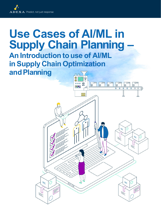

# **Use Cases of AI/ML in Supply Chain Planning –**

# **An Introduction to use of AI/ML in Supply Chain Optimization and Planning**

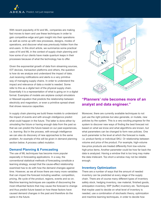With recent popularity of AI and ML, companies are making fast moves to learn and use these techniques in order to gain competitive edge and gain insight into their operations as well as come up with new processes, designs, modes of operations, and discover what was previously hidden from the end-users. In this short article, we summarize some practical uses of AI and ML in the context of supply chain planning and how some of our clients have made quantum leaps in their processes because of what the technology has to offer.

Given the exponential growth of data from streaming sources, IOT devices, transaction platforms and others, the question is how do we analyze and understand the impact of data. Just receiving notifications and alerts is a very primitive way of managing supply chains. In order to understand the impact and relevance of data a *model* is needed. Some refer to this as a *digital twin* of the physical supply chain. Essentially it is a representation of what is going on in a digital format. Examples of models are airplane cockpit simulators or Maxwell equation that predicts the relationship between electricity and magnetism, or even a primitive spread sheet that shows resource capacities.

In supply chain planning we build these models to understand the impact of events and with enough *intelligence* predict what could happen in the future. The latter is done either by *simulating* the future or having enough data from the past so that we can predict the future based on our past experiences, i.e. *learning*. But in the process, with enough intelligence we can also do discovery of new approaches to the same problem. An example of this will be given in demand planning section below. A process called *mutation*.

#### **Demand Planning & Forecasting**

The use of ML techniques has become more popular especially in forecasting applications. In a way, the conventional statistical methods of forecasting constitute a learning strategy, except that the cause-effect relationship examined has to do with how the demand changes against time. However, as we all know there are many more variables that can impact the forecast including weather, competition, pricing, life cycle of the product, regions, events and so on. Machine learning techniques are capable of discovering the most influential factors that may cause the forecast to change and thus predict future based on how these factors have caused demand changes in the past and therefore do the same in the future.



### **"Planners' role becomes more of an analyst and data engineer."**

Moreover, there are currently available techniques to not just use the right policies but also generate, or mutate, new policies by the system. This is a very exciting progress for the system to discover new ways of finding the best forecast not based on what we know and what algorithms are known, but what parameters can be changed to form new policies. One such parameter is the level at which the forecast is made, i.e. product family or individual SKU. Or relationship between volume and price of the product. For example, high-volume low-price products are treated differently from low-volume high-price items. Another parameter could be how far back the data is analyzed. Having a window that is too long may make the data irrelevant. Too short a window may not be reliable enough.

#### **Inventory Optimization**

There are a number of ways that the amount of needed inventory can be predicted at every stage of the supply chain. There are of course many different types of inventory safety stock, hedging inventory, raw material, finished goods, anticipation inventory, WIP (buffer) inventory etc. Techniques that maybe used to decide on what level of inventory is needed, use a combination of stochastic theory, optimization and machine learning techniques, in order to decide how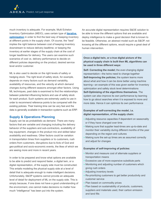much inventory is adequate. For example, Multi Echelon Inventory Optimization (MEIO), uses certain type of **[iterative](https://www.mit.edu/~9.520/spring08/Classes/optlecture.pdf)  [optimization](https://www.mit.edu/~9.520/spring08/Classes/optlecture.pdf)** in order to find the best way of keeping inventory at different points in the supply chain. Of course, the "best" implies the right balance between cost of keeping inventory downstream to reduce delivery leadtime; or keeping the inventory at earlier stages of the supply chain at the cost of longer leadtimes for delivery. The users can examine such scenarios of cost vs. delivery performance to decide on different policies depending on the product, desired service level and/or customer.

ML is also used to decide on the right levels of safety or hedging stock. The right level of safety stock, for example, depends on many factors such as demand variability, availability of resources, and the velocity at which demand changes during different seasons amongst other factors. Using ML techniques, past data is examined to find the relationships between potential influencing factors and use of safety stock for each product. Such systems are extremely useful to use in order to recommend reference points to be compared with the existing policies. Their training time can be very fast and the data is generally available in transaction systems such as ERP.

#### **Supply & Operations Planning**

Supply can be as probabilistic as demand. There are many factors that are variable and changing including the delivery behavior of the suppliers and sub-contractors, availability of key equipment, changes in the product mix and skilled labor availability and readiness. Other factors could be variation in transportation times from suppliers or to customers, rush orders from customers, disruptions due to Acts of God and geo-political and socio-economic events, the likes of which we are seeing more and more in recent years.

In order to be prepared and know what options are available to be able to predict and respond faster, a digital twin, or a digital representation, of the supply side must be constructed. This entails modeling the physical supply side at a level of detail that is adequate enough to make intelligent decisions. Unfortunately, S&OP systems cannot provide an adequate level of detail for deployment of ML on the supply side. This is simply because, if one does not have a good understanding of the environment, one cannot make decisions no matter how much "intelligence" has been put into the system.

An accurate digital representation requires S&OE solution to be able to know the different options that are available and deploy intelligence to make a good decision that is known to be feasible. Otherwise, an abstract model such as S&OP, not knowing all the different options, would require a great deal of human intervention.

#### **Once a digital twin, or a true digital picture of the physical supply chain is built then ML algorithms can be used in three different ways:**

**Self- Correcting the model;** the ever-changing digital representation—the twins need to change together **Self-Improving the policies;** the system learns more about what and how it can be done better using machine learning—an example of this was given earlier for inventory optimization and safety stock level determinations **Self-Optimizing of the algorithms themselves.** The system can also improve its own performance by learning how to go about searches when it is exposed to more and more data. Hence it can optimize its own performance

#### **Examples of self-correcting the model, i.e. digital representation, of the supply chain:**

- Adjusting resource capacities if dependent on seasonality or if they have changed over time
- Making sure that supplier lead-times are up-to-date and monitor their variability during different months of the year depending on the region and cultures
- Making sure the set-up times are as assumed correctly and adjust for changes

#### **Examples of self-improving of policies:**

- Monitor and measure cost of alternate suppliers or transportation means
- Excessive use of more expensive substitute parts
- Monitoring and adjusting number of customers which giving rush orders
- Adjusting inventory levels
- Re-prioritizing customers to get better productivity and customer service
- Plan based on commodity prices
- Plan based on sustainability of products, customers, suppliers and materials used, their carbon emission and land fills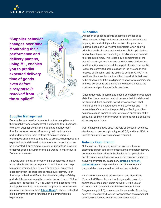**"Supplier behavior changes over time... Monitoring their performance and delivery pattens, using ML, enables you to predict expected delivery time of goods**  *even before a response is received* **from**  O  $\circ$ **the supplier!"**



#### **Supplier Management**

Companies are heavily dependent on their suppliers and their reliability and service level is critical to their business. However, supplier behavior is subject to change over time for better or worse. Monitoring their performance and understanding their pattens of delivery using ML techniques enable the companies to predict when goods are expected to be delivered so that more accurate plans can be generated. For example, a supplier might take 2 weeks to deliver goods in summer and 2.5 weeks in winter but in December 4 weeks.

Knowing such behavior ahead of time enables us to make more reliable and accurate plans. In addition, AI can help to monitor promised due dates. For example, automated messaging with the suppliers to make sure delivery is on time as promised. And if not, then how many days of delay and what the impact would be, can be known. Use of Natural Language Processing (NLP) to understand messages from the supplier can help to automate the process. At Adexa we use a robotic process, AKA **[Adexa Genie©](https://www.adexa.com/solutions/adexa-genie-predictive-prescriptive/#single/0)**, whose dedicated job is performing above functions and learning from its experiences.

#### **Allocation**

Allocation of goods to clients becomes a critical issue when demand is high and resources such as material and capacity are limited. Optimal allocation of capacity and material becomes a very complex problem when dealing with thousands of orders and customers. Both optimization and AI techniques can be deployed to allocate and commit to order in real-time. This is done by a combination of the use of expert systems to understand the rules of allocation and the ability to understand the impact of each order on the rest of the committed orders already in the system. In this process of allocation and the ability to perform ATP/CTP in real time, there are both soft and hard constraints that need to be observed and the intelligence to know what combination of these constraints are admissible to respond back to the customer and provide a reliable due date.

Once a due date is committed based on customer requested date then the execution needs to ensure that it is delivered on time and if not possible, for whatever reason, what should be communicated back to the customer and if it is acceptable. Or examine the possibility of finding another solution such as partial delivery or a close substitute of the product at slightly higher or lower price that can be delivered at the requested date.

Our next topic below is about the role of execution systems, also known as respond planning or S&OE, and how AI/ML is used to ensure deliveries made as promised.

#### **Network Optimization**

Optimization of the supply chain network can have an enormous impact in terms of cost savings and better delivery performance. Network optimization helps to dynamically decide on sourcing decisions to minimize cost and improve delivery performance. In addition, **[strategic network](https://www.adexa.com/solutions/networkoptimization/)  [optimization](https://www.adexa.com/solutions/networkoptimization/)** can help to reduce cost of inventory and transportation cost as well as their carbon emission.

A number of techniques drawn from AI and Operations Research (OR) can be used to design and improve the operations of the supply chain network. By the use of AI heuristics in conjunction with Mixed Integer Linear Programming (MILP), one can decide on levels of inventory, sourcing locations and reduce transportation costs amongst other factors such as land fill and carbon emission.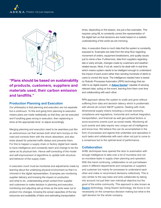

**"Plans should be based on sustainability of products, customers, suppliers and materials used, their carbon emission and landfills."**

#### **Production Planning and Execution**

Our philosophy is that planning and execution are not separate but a continuum. To this end going from planning to execution means plans are made realistically so that they can be executed and if anything goes wrong in execution, then replanning is done at the appropriate level to adjust accordingly.

Merging planning and execution need to be seamless just like an autonomous car that senses both short term bumps on the road and corrects them with the shock absorbers; and also looks ahead for potential traffic delays and prevents them. For this to happen a supply chain or factory digital twin needs to have intelligence and constantly learn and change to be the same as its physical twin. Hence self-correcting of the model and self-improvement of algorithms to update both structure and behavior of the supply chain.

In execution much must be monitored and adjustments made by learning about the underlying physical environment so that it is mirrored in the digital representation. Examples are monitoring supplier delivery and knowing the impact on production and what to do, understanding email content from supplier and customers to make decision in planning and execution, monitoring and adjusting set-up times as the tools wear out or product mix changes, knowing the actual capacities of the key resources and availability of labor and estimating transportation

times, depending on the season, are just a few examples. This requires using ML to constantly correct the representation of the digital twin so that decisions are made based on a realistic understanding of the world we are mirroring.

Also, in execution there is much data that the system is constantly exposed to. Examples are data from the shop floor regarding movement of orders, equipment breakdowns, and quality issues just to name a few. Furthermore, data from suppliers regarding late or early arrivals, changes made by customers and weatherrelated issues. Most, if not all, need to be dealt with in real-time which means system needs to be intelligent enough to understand the impact of each event rather than sending hundreds of alerts to users to correct the issue. The intelligence needed here is based on Robotic Processes Automation (RPA) technology that we refer to as digital experts or **[Adexa Genies©](https://www.adexa.com/solutions/adexa-genie-predictive-prescriptive/#single/0)** capable of sensing relevant data, acting on the event, learning from them over time and collaborating with each other.

RPA approach allows the system to scale and grow without suffering from data and decision latency which is problematic with almost all current S&OP systems. Dealing with multidimensional supply chains including a circular economy, compliance and regulations, horizontal and vertical integration, transportation, and financial as well geo-political factors or socio-economic events such as social media. Monitoring all such events and data require very unique set of intelligence and know-how. We believe this can be accomplished in the form of processes and agents that undertake and specialize in such tasks and collaborate with each other not just to come to a consensus but to the optimal level of performance.

#### **Collaboration**

AI/ML techniques have opened the door to automation with enough intelligence to take over a lot of mundane and not so mundane tasks in supply chain planning and operation. With this trend continuing, collaboration is not just between users in different departments and companies or suppliers and customer but mainly for processes to understand each other and make or recommend decisions collectively. This is very similar to the way bees and ants collaborate by taking into account not just their own individual objective but the good of the entire community. This approach is also known as **[Swarm](https://www.forbes.com/sites/forbestechcouncil/2021/07/01/lessons-from-bees-and-ants-for-smart-supply-chain-planning/?sh=1e31e1ef5fd5)** technology. Using Swarm technology, the focus is not necessarily on the consensus decision making but what is the *right* decision for the whole company.